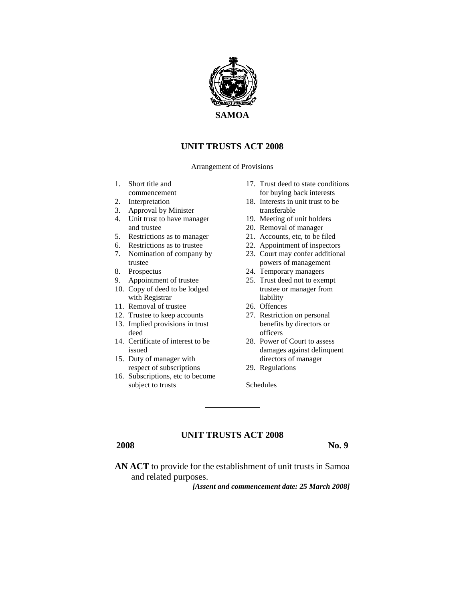

# **UNIT TRUSTS ACT 2008**

Arrangement of Provisions

- 1. Short title and commencement
- 2. Interpretation
- 3. Approval by Minister
- 4. Unit trust to have manager and trustee
- 5. Restrictions as to manager
- 6. Restrictions as to trustee
- 7. Nomination of company by trustee
- 8. Prospectus
- 9. Appointment of trustee
- 10. Copy of deed to be lodged with Registrar
- 11. Removal of trustee
- 12. Trustee to keep accounts
- 13. Implied provisions in trust deed
- 14. Certificate of interest to be issued
- 15. Duty of manager with respect of subscriptions
- 16. Subscriptions, etc to become subject to trusts
- 17. Trust deed to state conditions for buying back interests
- 18. Interests in unit trust to be transferable
- 19. Meeting of unit holders
- 20. Removal of manager
- 21. Accounts, etc, to be filed
- 22. Appointment of inspectors
- 23. Court may confer additional powers of management
- 24. Temporary managers
- 25. Trust deed not to exempt trustee or manager from liability
- 26. Offences
- 27. Restriction on personal benefits by directors or officers
- 28. Power of Court to assess damages against delinquent directors of manager
- 29. Regulations

Schedules

## **UNIT TRUSTS ACT 2008**

**2008 No. 9**

**AN ACT** to provide for the establishment of unit trusts in Samoa and related purposes.

*[Assent and commencement date: 25 March 2008]*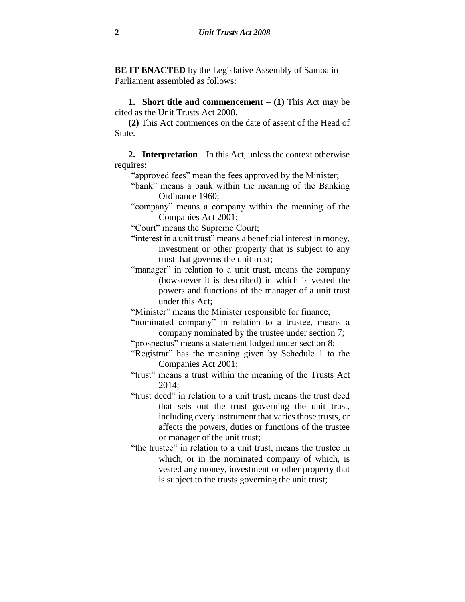**BE IT ENACTED** by the Legislative Assembly of Samoa in Parliament assembled as follows:

**1. Short title and commencement** – **(1)** This Act may be cited as the Unit Trusts Act 2008.

**(2)** This Act commences on the date of assent of the Head of State.

**2. Interpretation** – In this Act, unless the context otherwise requires:

"approved fees" mean the fees approved by the Minister;

"bank" means a bank within the meaning of the Banking Ordinance 1960;

"company" means a company within the meaning of the Companies Act 2001;

"Court" means the Supreme Court;

- "interest in a unit trust" means a beneficial interest in money, investment or other property that is subject to any trust that governs the unit trust;
- "manager" in relation to a unit trust, means the company (howsoever it is described) in which is vested the powers and functions of the manager of a unit trust under this Act;

"Minister" means the Minister responsible for finance;

"nominated company" in relation to a trustee, means a company nominated by the trustee under section 7;

"prospectus" means a statement lodged under section 8;

"Registrar" has the meaning given by Schedule 1 to the Companies Act 2001;

"trust" means a trust within the meaning of the Trusts Act 2014;

- "trust deed" in relation to a unit trust, means the trust deed that sets out the trust governing the unit trust, including every instrument that varies those trusts, or affects the powers, duties or functions of the trustee or manager of the unit trust;
- "the trustee" in relation to a unit trust, means the trustee in which, or in the nominated company of which, is vested any money, investment or other property that is subject to the trusts governing the unit trust;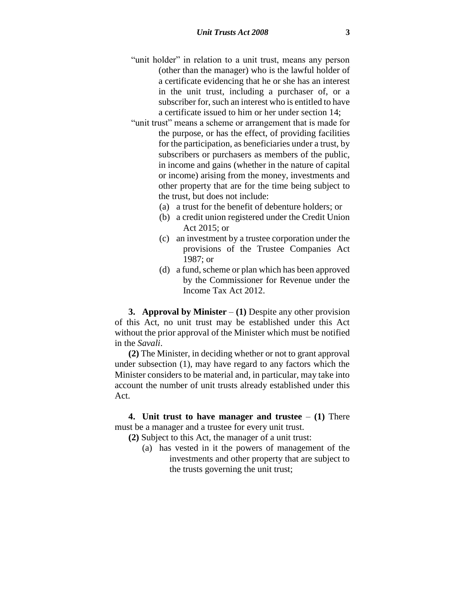- "unit holder" in relation to a unit trust, means any person (other than the manager) who is the lawful holder of a certificate evidencing that he or she has an interest in the unit trust, including a purchaser of, or a subscriber for, such an interest who is entitled to have a certificate issued to him or her under section 14;
- "unit trust" means a scheme or arrangement that is made for the purpose, or has the effect, of providing facilities for the participation, as beneficiaries under a trust, by subscribers or purchasers as members of the public, in income and gains (whether in the nature of capital or income) arising from the money, investments and other property that are for the time being subject to the trust, but does not include:
	- (a) a trust for the benefit of debenture holders; or
	- (b) a credit union registered under the Credit Union Act 2015; or
	- (c) an investment by a trustee corporation under the provisions of the Trustee Companies Act 1987; or
	- (d) a fund, scheme or plan which has been approved by the Commissioner for Revenue under the Income Tax Act 2012.

**3. Approval by Minister** – **(1)** Despite any other provision of this Act, no unit trust may be established under this Act without the prior approval of the Minister which must be notified in the *Savali*.

**(2)** The Minister, in deciding whether or not to grant approval under subsection (1), may have regard to any factors which the Minister considers to be material and, in particular, may take into account the number of unit trusts already established under this Act.

**4. Unit trust to have manager and trustee** – **(1)** There must be a manager and a trustee for every unit trust.

- **(2)** Subject to this Act, the manager of a unit trust:
	- (a) has vested in it the powers of management of the investments and other property that are subject to the trusts governing the unit trust;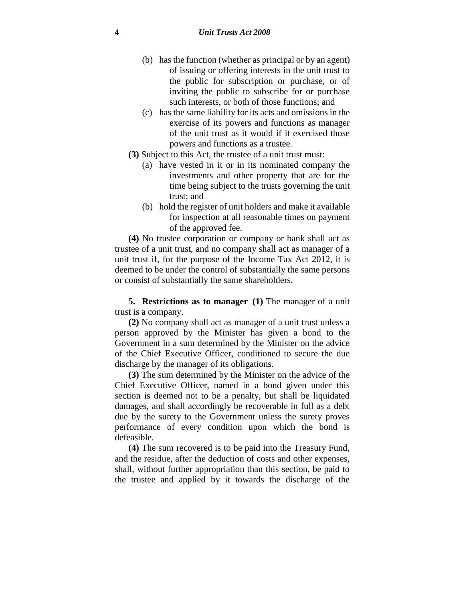- (b) has the function (whether as principal or by an agent) of issuing or offering interests in the unit trust to the public for subscription or purchase, or of inviting the public to subscribe for or purchase such interests, or both of those functions; and
- (c) has the same liability for its acts and omissions in the exercise of its powers and functions as manager of the unit trust as it would if it exercised those powers and functions as a trustee.
- **(3)** Subject to this Act, the trustee of a unit trust must:
	- (a) have vested in it or in its nominated company the investments and other property that are for the time being subject to the trusts governing the unit trust; and
	- (b) hold the register of unit holders and make it available for inspection at all reasonable times on payment of the approved fee.

**(4)** No trustee corporation or company or bank shall act as trustee of a unit trust, and no company shall act as manager of a unit trust if, for the purpose of the Income Tax Act 2012, it is deemed to be under the control of substantially the same persons or consist of substantially the same shareholders.

**5. Restrictions as to manager**–**(1)** The manager of a unit trust is a company.

**(2)** No company shall act as manager of a unit trust unless a person approved by the Minister has given a bond to the Government in a sum determined by the Minister on the advice of the Chief Executive Officer, conditioned to secure the due discharge by the manager of its obligations.

**(3)** The sum determined by the Minister on the advice of the Chief Executive Officer, named in a bond given under this section is deemed not to be a penalty, but shall be liquidated damages, and shall accordingly be recoverable in full as a debt due by the surety to the Government unless the surety proves performance of every condition upon which the bond is defeasible.

**(4)** The sum recovered is to be paid into the Treasury Fund, and the residue, after the deduction of costs and other expenses, shall, without further appropriation than this section, be paid to the trustee and applied by it towards the discharge of the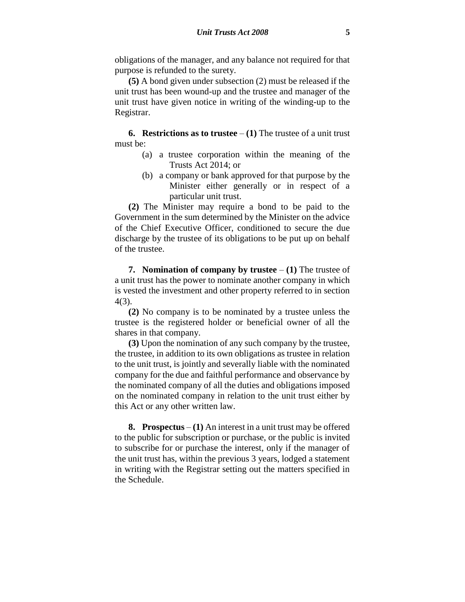obligations of the manager, and any balance not required for that purpose is refunded to the surety.

**(5)** A bond given under subsection (2) must be released if the unit trust has been wound-up and the trustee and manager of the unit trust have given notice in writing of the winding-up to the Registrar.

**6. Restrictions as to trustee**  $- (1)$  The trustee of a unit trust must be:

- (a) a trustee corporation within the meaning of the Trusts Act 2014; or
- (b) a company or bank approved for that purpose by the Minister either generally or in respect of a particular unit trust.

**(2)** The Minister may require a bond to be paid to the Government in the sum determined by the Minister on the advice of the Chief Executive Officer, conditioned to secure the due discharge by the trustee of its obligations to be put up on behalf of the trustee.

**7. Nomination of company by trustee** – **(1)** The trustee of a unit trust has the power to nominate another company in which is vested the investment and other property referred to in section 4(3).

**(2)** No company is to be nominated by a trustee unless the trustee is the registered holder or beneficial owner of all the shares in that company.

**(3)** Upon the nomination of any such company by the trustee, the trustee, in addition to its own obligations as trustee in relation to the unit trust, is jointly and severally liable with the nominated company for the due and faithful performance and observance by the nominated company of all the duties and obligations imposed on the nominated company in relation to the unit trust either by this Act or any other written law.

**8. Prospectus** – **(1)** An interest in a unit trust may be offered to the public for subscription or purchase, or the public is invited to subscribe for or purchase the interest, only if the manager of the unit trust has, within the previous 3 years, lodged a statement in writing with the Registrar setting out the matters specified in the Schedule.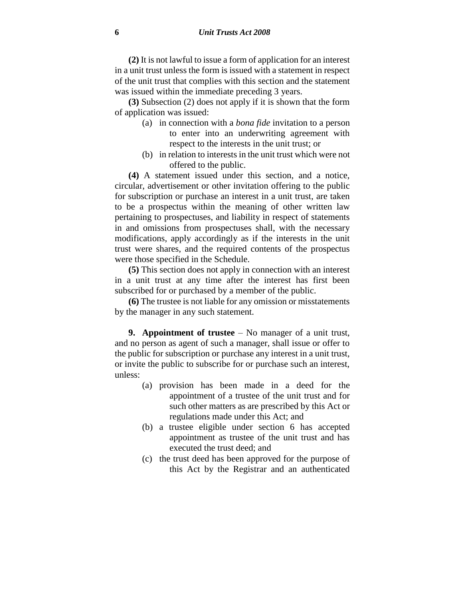**(2)** It is not lawful to issue a form of application for an interest in a unit trust unless the form is issued with a statement in respect of the unit trust that complies with this section and the statement was issued within the immediate preceding 3 years.

**(3)** Subsection (2) does not apply if it is shown that the form of application was issued:

- (a) in connection with a *bona fide* invitation to a person to enter into an underwriting agreement with respect to the interests in the unit trust; or
- (b) in relation to interests in the unit trust which were not offered to the public.

**(4)** A statement issued under this section, and a notice, circular, advertisement or other invitation offering to the public for subscription or purchase an interest in a unit trust, are taken to be a prospectus within the meaning of other written law pertaining to prospectuses, and liability in respect of statements in and omissions from prospectuses shall, with the necessary modifications, apply accordingly as if the interests in the unit trust were shares, and the required contents of the prospectus were those specified in the Schedule.

**(5)** This section does not apply in connection with an interest in a unit trust at any time after the interest has first been subscribed for or purchased by a member of the public.

**(6)** The trustee is not liable for any omission or misstatements by the manager in any such statement.

**9. Appointment of trustee** – No manager of a unit trust, and no person as agent of such a manager, shall issue or offer to the public for subscription or purchase any interest in a unit trust, or invite the public to subscribe for or purchase such an interest, unless:

- (a) provision has been made in a deed for the appointment of a trustee of the unit trust and for such other matters as are prescribed by this Act or regulations made under this Act; and
- (b) a trustee eligible under section 6 has accepted appointment as trustee of the unit trust and has executed the trust deed; and
- (c) the trust deed has been approved for the purpose of this Act by the Registrar and an authenticated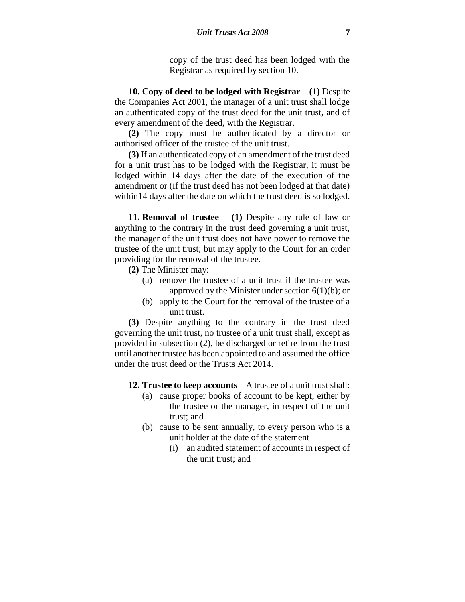copy of the trust deed has been lodged with the Registrar as required by section 10.

**10. Copy of deed to be lodged with Registrar** – **(1)** Despite the Companies Act 2001, the manager of a unit trust shall lodge an authenticated copy of the trust deed for the unit trust, and of every amendment of the deed, with the Registrar.

**(2)** The copy must be authenticated by a director or authorised officer of the trustee of the unit trust.

**(3)** If an authenticated copy of an amendment of the trust deed for a unit trust has to be lodged with the Registrar, it must be lodged within 14 days after the date of the execution of the amendment or (if the trust deed has not been lodged at that date) within14 days after the date on which the trust deed is so lodged.

**11. Removal of trustee** – **(1)** Despite any rule of law or anything to the contrary in the trust deed governing a unit trust, the manager of the unit trust does not have power to remove the trustee of the unit trust; but may apply to the Court for an order providing for the removal of the trustee.

- **(2)** The Minister may:
	- (a) remove the trustee of a unit trust if the trustee was approved by the Minister under section  $6(1)(b)$ ; or
	- (b) apply to the Court for the removal of the trustee of a unit trust.

**(3)** Despite anything to the contrary in the trust deed governing the unit trust, no trustee of a unit trust shall, except as provided in subsection (2), be discharged or retire from the trust until another trustee has been appointed to and assumed the office under the trust deed or the Trusts Act 2014.

- **12. Trustee to keep accounts** A trustee of a unit trust shall:
	- (a) cause proper books of account to be kept, either by the trustee or the manager, in respect of the unit trust; and
	- (b) cause to be sent annually, to every person who is a unit holder at the date of the statement—
		- (i) an audited statement of accounts in respect of the unit trust; and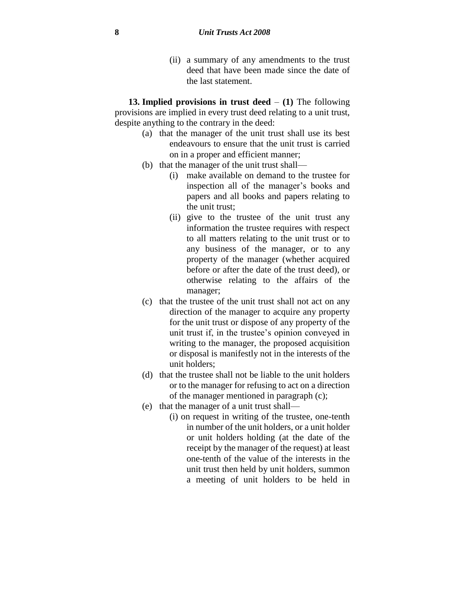(ii) a summary of any amendments to the trust deed that have been made since the date of the last statement.

**13. Implied provisions in trust deed** – **(1)** The following provisions are implied in every trust deed relating to a unit trust, despite anything to the contrary in the deed:

- (a) that the manager of the unit trust shall use its best endeavours to ensure that the unit trust is carried on in a proper and efficient manner;
- (b) that the manager of the unit trust shall—
	- (i) make available on demand to the trustee for inspection all of the manager's books and papers and all books and papers relating to the unit trust;
	- (ii) give to the trustee of the unit trust any information the trustee requires with respect to all matters relating to the unit trust or to any business of the manager, or to any property of the manager (whether acquired before or after the date of the trust deed), or otherwise relating to the affairs of the manager;
- (c) that the trustee of the unit trust shall not act on any direction of the manager to acquire any property for the unit trust or dispose of any property of the unit trust if, in the trustee's opinion conveyed in writing to the manager, the proposed acquisition or disposal is manifestly not in the interests of the unit holders;
- (d) that the trustee shall not be liable to the unit holders or to the manager for refusing to act on a direction of the manager mentioned in paragraph (c);
- (e) that the manager of a unit trust shall—
	- (i) on request in writing of the trustee, one-tenth in number of the unit holders, or a unit holder or unit holders holding (at the date of the receipt by the manager of the request) at least one-tenth of the value of the interests in the unit trust then held by unit holders, summon a meeting of unit holders to be held in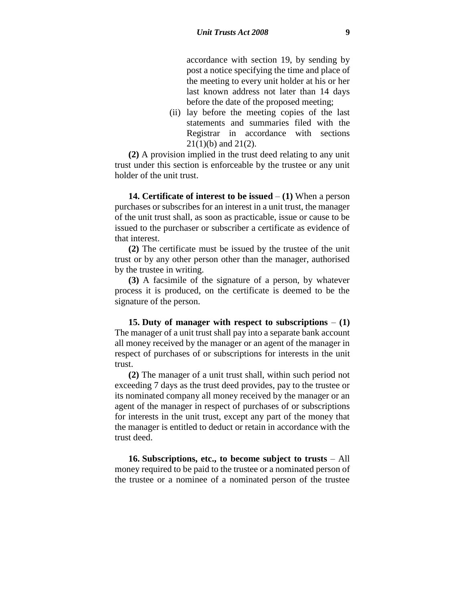accordance with section 19, by sending by post a notice specifying the time and place of the meeting to every unit holder at his or her last known address not later than 14 days before the date of the proposed meeting;

(ii) lay before the meeting copies of the last statements and summaries filed with the Registrar in accordance with sections  $21(1)(b)$  and  $21(2)$ .

**(2)** A provision implied in the trust deed relating to any unit trust under this section is enforceable by the trustee or any unit holder of the unit trust.

**14. Certificate of interest to be issued** – **(1)** When a person purchases or subscribes for an interest in a unit trust, the manager of the unit trust shall, as soon as practicable, issue or cause to be issued to the purchaser or subscriber a certificate as evidence of that interest.

**(2)** The certificate must be issued by the trustee of the unit trust or by any other person other than the manager, authorised by the trustee in writing.

**(3)** A facsimile of the signature of a person, by whatever process it is produced, on the certificate is deemed to be the signature of the person.

**15. Duty of manager with respect to subscriptions** – **(1)** The manager of a unit trust shall pay into a separate bank account all money received by the manager or an agent of the manager in respect of purchases of or subscriptions for interests in the unit trust.

**(2)** The manager of a unit trust shall, within such period not exceeding 7 days as the trust deed provides, pay to the trustee or its nominated company all money received by the manager or an agent of the manager in respect of purchases of or subscriptions for interests in the unit trust, except any part of the money that the manager is entitled to deduct or retain in accordance with the trust deed.

**16. Subscriptions, etc., to become subject to trusts** – All money required to be paid to the trustee or a nominated person of the trustee or a nominee of a nominated person of the trustee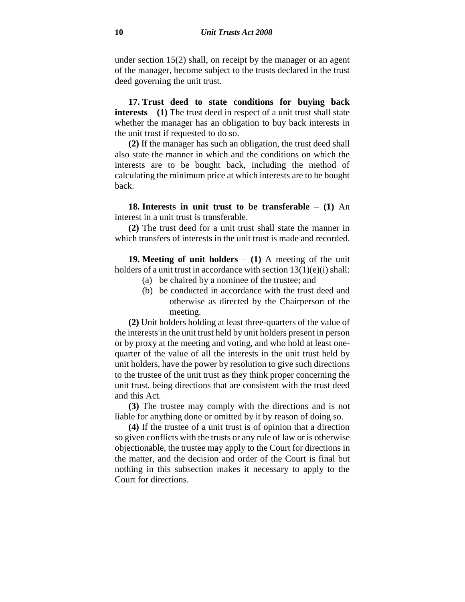under section 15(2) shall, on receipt by the manager or an agent of the manager, become subject to the trusts declared in the trust deed governing the unit trust.

**17. Trust deed to state conditions for buying back interests** – **(1)** The trust deed in respect of a unit trust shall state whether the manager has an obligation to buy back interests in the unit trust if requested to do so.

**(2)** If the manager has such an obligation, the trust deed shall also state the manner in which and the conditions on which the interests are to be bought back, including the method of calculating the minimum price at which interests are to be bought back.

**18. Interests in unit trust to be transferable** – **(1)** An interest in a unit trust is transferable.

**(2)** The trust deed for a unit trust shall state the manner in which transfers of interests in the unit trust is made and recorded.

**19. Meeting of unit holders** – **(1)** A meeting of the unit holders of a unit trust in accordance with section  $13(1)(e)(i)$  shall:

- (a) be chaired by a nominee of the trustee; and
- (b) be conducted in accordance with the trust deed and otherwise as directed by the Chairperson of the meeting.

**(2)** Unit holders holding at least three-quarters of the value of the interests in the unit trust held by unit holders present in person or by proxy at the meeting and voting, and who hold at least onequarter of the value of all the interests in the unit trust held by unit holders, have the power by resolution to give such directions to the trustee of the unit trust as they think proper concerning the unit trust, being directions that are consistent with the trust deed and this Act.

**(3)** The trustee may comply with the directions and is not liable for anything done or omitted by it by reason of doing so.

**(4)** If the trustee of a unit trust is of opinion that a direction so given conflicts with the trusts or any rule of law or is otherwise objectionable, the trustee may apply to the Court for directions in the matter, and the decision and order of the Court is final but nothing in this subsection makes it necessary to apply to the Court for directions.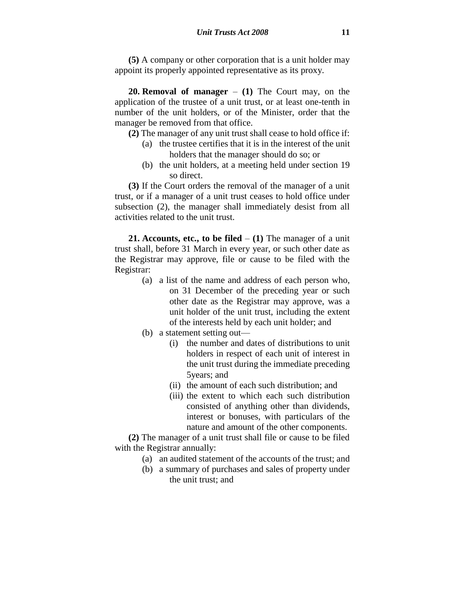**(5)** A company or other corporation that is a unit holder may appoint its properly appointed representative as its proxy.

**20. Removal of manager** – **(1)** The Court may, on the application of the trustee of a unit trust, or at least one-tenth in number of the unit holders, or of the Minister, order that the manager be removed from that office.

**(2)** The manager of any unit trust shall cease to hold office if:

- (a) the trustee certifies that it is in the interest of the unit holders that the manager should do so; or
- (b) the unit holders, at a meeting held under section 19 so direct.

**(3)** If the Court orders the removal of the manager of a unit trust, or if a manager of a unit trust ceases to hold office under subsection (2), the manager shall immediately desist from all activities related to the unit trust.

**21. Accounts, etc., to be filed** – **(1)** The manager of a unit trust shall, before 31 March in every year, or such other date as the Registrar may approve, file or cause to be filed with the Registrar:

- (a) a list of the name and address of each person who, on 31 December of the preceding year or such other date as the Registrar may approve, was a unit holder of the unit trust, including the extent of the interests held by each unit holder; and
- (b) a statement setting out—
	- (i) the number and dates of distributions to unit holders in respect of each unit of interest in the unit trust during the immediate preceding 5years; and
	- (ii) the amount of each such distribution; and
	- (iii) the extent to which each such distribution consisted of anything other than dividends, interest or bonuses, with particulars of the nature and amount of the other components.

**(2)** The manager of a unit trust shall file or cause to be filed with the Registrar annually:

- (a) an audited statement of the accounts of the trust; and
- (b) a summary of purchases and sales of property under the unit trust; and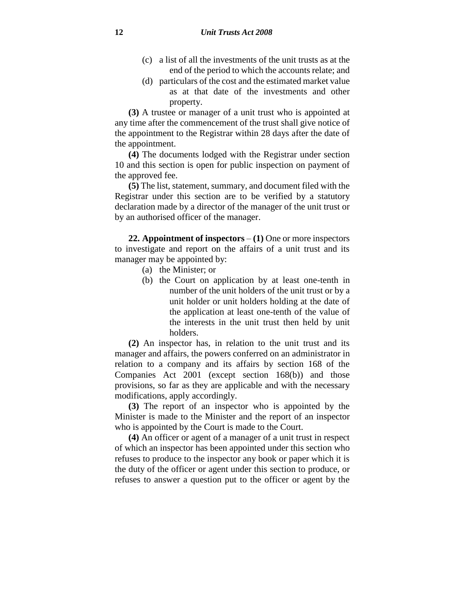- (c) a list of all the investments of the unit trusts as at the end of the period to which the accounts relate; and
- (d) particulars of the cost and the estimated market value as at that date of the investments and other property.

**(3)** A trustee or manager of a unit trust who is appointed at any time after the commencement of the trust shall give notice of the appointment to the Registrar within 28 days after the date of the appointment.

**(4)** The documents lodged with the Registrar under section 10 and this section is open for public inspection on payment of the approved fee.

**(5)** The list, statement, summary, and document filed with the Registrar under this section are to be verified by a statutory declaration made by a director of the manager of the unit trust or by an authorised officer of the manager.

**22. Appointment of inspectors** – **(1)** One or more inspectors to investigate and report on the affairs of a unit trust and its manager may be appointed by:

- (a) the Minister; or
- (b) the Court on application by at least one-tenth in number of the unit holders of the unit trust or by a unit holder or unit holders holding at the date of the application at least one-tenth of the value of the interests in the unit trust then held by unit holders.

**(2)** An inspector has, in relation to the unit trust and its manager and affairs, the powers conferred on an administrator in relation to a company and its affairs by section 168 of the Companies Act 2001 (except section 168(b)) and those provisions, so far as they are applicable and with the necessary modifications, apply accordingly.

**(3)** The report of an inspector who is appointed by the Minister is made to the Minister and the report of an inspector who is appointed by the Court is made to the Court.

**(4)** An officer or agent of a manager of a unit trust in respect of which an inspector has been appointed under this section who refuses to produce to the inspector any book or paper which it is the duty of the officer or agent under this section to produce, or refuses to answer a question put to the officer or agent by the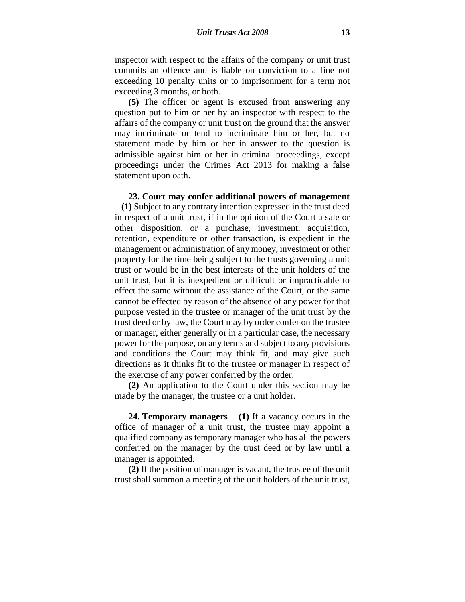inspector with respect to the affairs of the company or unit trust commits an offence and is liable on conviction to a fine not exceeding 10 penalty units or to imprisonment for a term not exceeding 3 months, or both.

**(5)** The officer or agent is excused from answering any question put to him or her by an inspector with respect to the affairs of the company or unit trust on the ground that the answer may incriminate or tend to incriminate him or her, but no statement made by him or her in answer to the question is admissible against him or her in criminal proceedings, except proceedings under the Crimes Act 2013 for making a false statement upon oath.

**23. Court may confer additional powers of management** – **(1)** Subject to any contrary intention expressed in the trust deed in respect of a unit trust, if in the opinion of the Court a sale or other disposition, or a purchase, investment, acquisition, retention, expenditure or other transaction, is expedient in the management or administration of any money, investment or other property for the time being subject to the trusts governing a unit trust or would be in the best interests of the unit holders of the unit trust, but it is inexpedient or difficult or impracticable to effect the same without the assistance of the Court, or the same cannot be effected by reason of the absence of any power for that purpose vested in the trustee or manager of the unit trust by the trust deed or by law, the Court may by order confer on the trustee or manager, either generally or in a particular case, the necessary power for the purpose, on any terms and subject to any provisions and conditions the Court may think fit, and may give such directions as it thinks fit to the trustee or manager in respect of the exercise of any power conferred by the order.

**(2)** An application to the Court under this section may be made by the manager, the trustee or a unit holder.

**24. Temporary managers** – **(1)** If a vacancy occurs in the office of manager of a unit trust, the trustee may appoint a qualified company as temporary manager who has all the powers conferred on the manager by the trust deed or by law until a manager is appointed.

**(2)** If the position of manager is vacant, the trustee of the unit trust shall summon a meeting of the unit holders of the unit trust,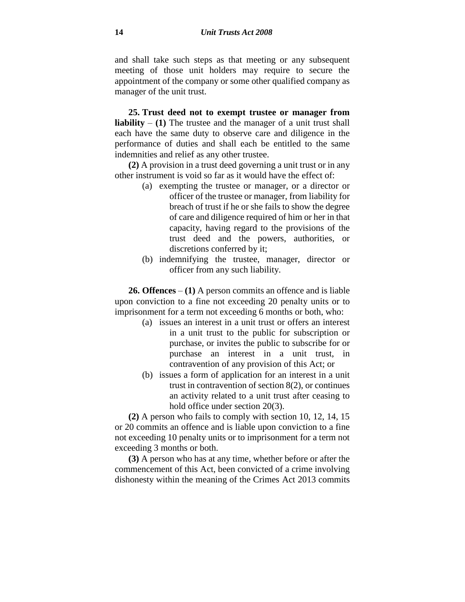and shall take such steps as that meeting or any subsequent meeting of those unit holders may require to secure the appointment of the company or some other qualified company as manager of the unit trust.

**25. Trust deed not to exempt trustee or manager from liability** – **(1)** The trustee and the manager of a unit trust shall each have the same duty to observe care and diligence in the performance of duties and shall each be entitled to the same indemnities and relief as any other trustee.

**(2)** A provision in a trust deed governing a unit trust or in any other instrument is void so far as it would have the effect of:

- (a) exempting the trustee or manager, or a director or officer of the trustee or manager, from liability for breach of trust if he or she fails to show the degree of care and diligence required of him or her in that capacity, having regard to the provisions of the trust deed and the powers, authorities, or discretions conferred by it;
- (b) indemnifying the trustee, manager, director or officer from any such liability.

**26. Offences** – **(1)** A person commits an offence and is liable upon conviction to a fine not exceeding 20 penalty units or to imprisonment for a term not exceeding 6 months or both, who:

- (a) issues an interest in a unit trust or offers an interest in a unit trust to the public for subscription or purchase, or invites the public to subscribe for or purchase an interest in a unit trust, in contravention of any provision of this Act; or
- (b) issues a form of application for an interest in a unit trust in contravention of section 8(2), or continues an activity related to a unit trust after ceasing to hold office under section 20(3).

**(2)** A person who fails to comply with section 10, 12, 14, 15 or 20 commits an offence and is liable upon conviction to a fine not exceeding 10 penalty units or to imprisonment for a term not exceeding 3 months or both.

**(3)** A person who has at any time, whether before or after the commencement of this Act, been convicted of a crime involving dishonesty within the meaning of the Crimes Act 2013 commits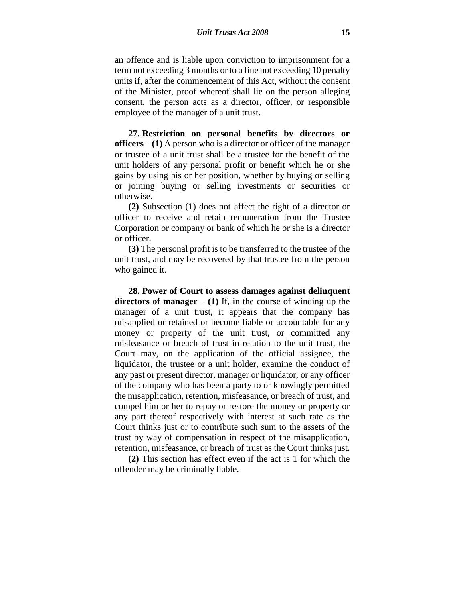an offence and is liable upon conviction to imprisonment for a term not exceeding 3 months or to a fine not exceeding 10 penalty units if, after the commencement of this Act, without the consent of the Minister, proof whereof shall lie on the person alleging consent, the person acts as a director, officer, or responsible employee of the manager of a unit trust.

**27. Restriction on personal benefits by directors or officers** – **(1)** A person who is a director or officer of the manager or trustee of a unit trust shall be a trustee for the benefit of the unit holders of any personal profit or benefit which he or she gains by using his or her position, whether by buying or selling or joining buying or selling investments or securities or otherwise.

**(2)** Subsection (1) does not affect the right of a director or officer to receive and retain remuneration from the Trustee Corporation or company or bank of which he or she is a director or officer.

**(3)** The personal profit is to be transferred to the trustee of the unit trust, and may be recovered by that trustee from the person who gained it.

**28. Power of Court to assess damages against delinquent directors of manager** – (1) If, in the course of winding up the manager of a unit trust, it appears that the company has misapplied or retained or become liable or accountable for any money or property of the unit trust, or committed any misfeasance or breach of trust in relation to the unit trust, the Court may, on the application of the official assignee, the liquidator, the trustee or a unit holder, examine the conduct of any past or present director, manager or liquidator, or any officer of the company who has been a party to or knowingly permitted the misapplication, retention, misfeasance, or breach of trust, and compel him or her to repay or restore the money or property or any part thereof respectively with interest at such rate as the Court thinks just or to contribute such sum to the assets of the trust by way of compensation in respect of the misapplication, retention, misfeasance, or breach of trust as the Court thinks just.

**(2)** This section has effect even if the act is 1 for which the offender may be criminally liable.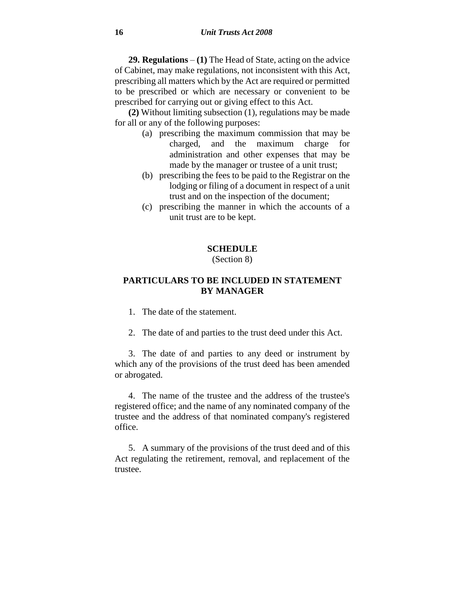**29. Regulations** – **(1)** The Head of State, acting on the advice of Cabinet, may make regulations, not inconsistent with this Act, prescribing all matters which by the Act are required or permitted to be prescribed or which are necessary or convenient to be prescribed for carrying out or giving effect to this Act.

**(2)** Without limiting subsection (1), regulations may be made for all or any of the following purposes:

- (a) prescribing the maximum commission that may be charged, and the maximum charge for administration and other expenses that may be made by the manager or trustee of a unit trust;
- (b) prescribing the fees to be paid to the Registrar on the lodging or filing of a document in respect of a unit trust and on the inspection of the document;
- (c) prescribing the manner in which the accounts of a unit trust are to be kept.

## **SCHEDULE**

## (Section 8)

## **PARTICULARS TO BE INCLUDED IN STATEMENT BY MANAGER**

- 1. The date of the statement.
- 2. The date of and parties to the trust deed under this Act.

3. The date of and parties to any deed or instrument by which any of the provisions of the trust deed has been amended or abrogated.

4. The name of the trustee and the address of the trustee's registered office; and the name of any nominated company of the trustee and the address of that nominated company's registered office.

5. A summary of the provisions of the trust deed and of this Act regulating the retirement, removal, and replacement of the trustee.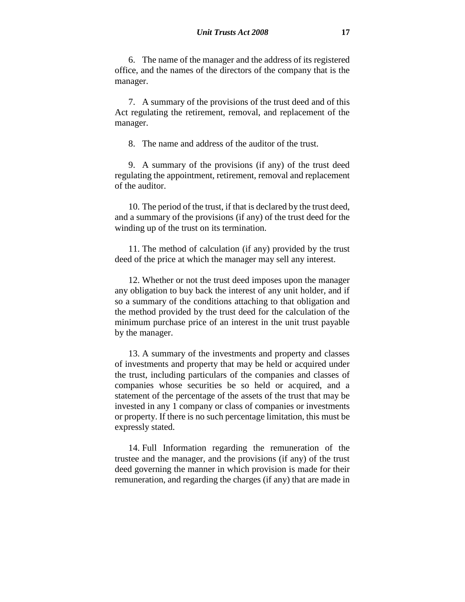6. The name of the manager and the address of its registered office, and the names of the directors of the company that is the manager.

7. A summary of the provisions of the trust deed and of this Act regulating the retirement, removal, and replacement of the manager.

8. The name and address of the auditor of the trust.

9. A summary of the provisions (if any) of the trust deed regulating the appointment, retirement, removal and replacement of the auditor.

10. The period of the trust, if that is declared by the trust deed, and a summary of the provisions (if any) of the trust deed for the winding up of the trust on its termination.

11. The method of calculation (if any) provided by the trust deed of the price at which the manager may sell any interest.

12. Whether or not the trust deed imposes upon the manager any obligation to buy back the interest of any unit holder, and if so a summary of the conditions attaching to that obligation and the method provided by the trust deed for the calculation of the minimum purchase price of an interest in the unit trust payable by the manager.

13. A summary of the investments and property and classes of investments and property that may be held or acquired under the trust, including particulars of the companies and classes of companies whose securities be so held or acquired, and a statement of the percentage of the assets of the trust that may be invested in any 1 company or class of companies or investments or property. If there is no such percentage limitation, this must be expressly stated.

14. Full Information regarding the remuneration of the trustee and the manager, and the provisions (if any) of the trust deed governing the manner in which provision is made for their remuneration, and regarding the charges (if any) that are made in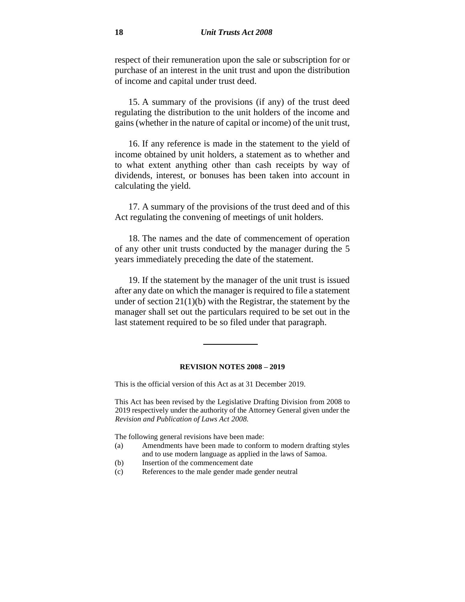respect of their remuneration upon the sale or subscription for or purchase of an interest in the unit trust and upon the distribution of income and capital under trust deed.

15. A summary of the provisions (if any) of the trust deed regulating the distribution to the unit holders of the income and gains (whether in the nature of capital or income) of the unit trust,

16. If any reference is made in the statement to the yield of income obtained by unit holders, a statement as to whether and to what extent anything other than cash receipts by way of dividends, interest, or bonuses has been taken into account in calculating the yield.

17. A summary of the provisions of the trust deed and of this Act regulating the convening of meetings of unit holders.

18. The names and the date of commencement of operation of any other unit trusts conducted by the manager during the 5 years immediately preceding the date of the statement.

19. If the statement by the manager of the unit trust is issued after any date on which the manager is required to file a statement under of section  $21(1)(b)$  with the Registrar, the statement by the manager shall set out the particulars required to be set out in the last statement required to be so filed under that paragraph.

### **REVISION NOTES 2008 – 2019**

This is the official version of this Act as at 31 December 2019.

This Act has been revised by the Legislative Drafting Division from 2008 to 2019 respectively under the authority of the Attorney General given under the *Revision and Publication of Laws Act 2008.*

The following general revisions have been made:

- (a) Amendments have been made to conform to modern drafting styles and to use modern language as applied in the laws of Samoa.
- (b) Insertion of the commencement date
- (c) References to the male gender made gender neutral